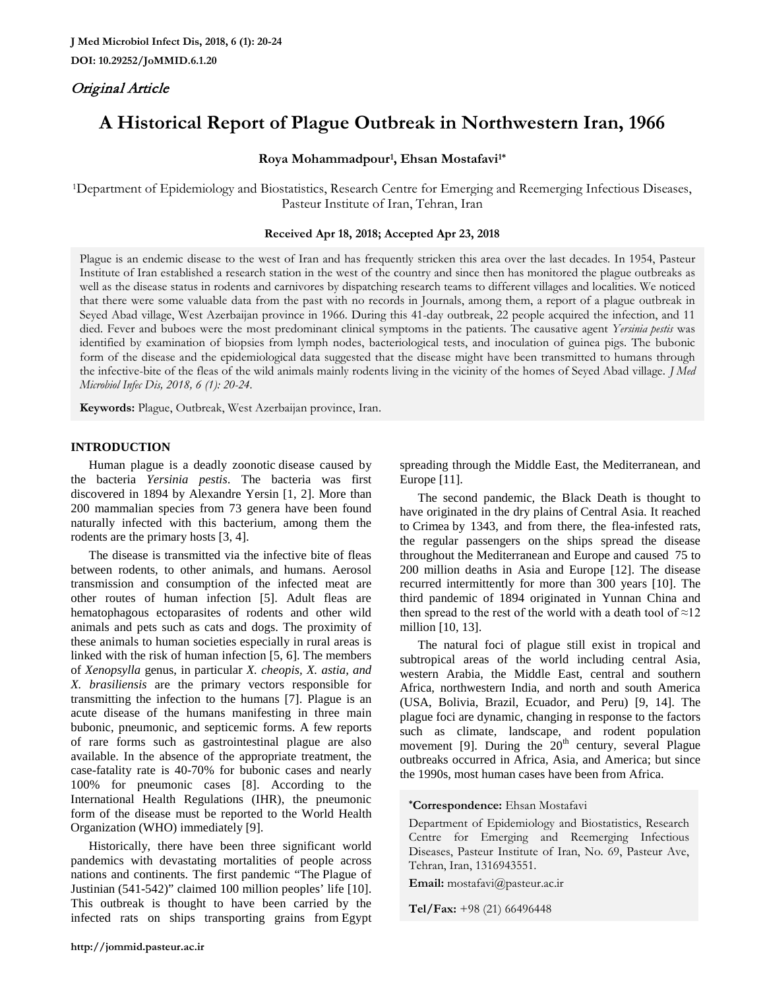# Original Article

# **A Historical Report of Plague Outbreak in Northwestern Iran, 1966**

## **Roya Mohammadpour1, Ehsan Mostafavi1\***

1Department of Epidemiology and Biostatistics, Research Centre for Emerging and Reemerging Infectious Diseases, Pasteur Institute of Iran, Tehran, Iran

### **Received Apr 18, 2018; Accepted Apr 23, 2018**

Plague is an endemic disease to the west of Iran and has frequently stricken this area over the last decades. In 1954, Pasteur Institute of Iran established a research station in the west of the country and since then has monitored the plague outbreaks as well as the disease status in rodents and carnivores by dispatching research teams to different villages and localities. We noticed that there were some valuable data from the past with no records in Journals, among them, a report of a plague outbreak in Seyed Abad village, West Azerbaijan province in 1966. During this 41-day outbreak, 22 people acquired the infection, and 11 died. Fever and buboes were the most predominant clinical symptoms in the patients. The causative agent *Yersinia pestis* was identified by examination of biopsies from lymph nodes, bacteriological tests, and inoculation of guinea pigs. The bubonic form of the disease and the epidemiological data suggested that the disease might have been transmitted to humans through the infective-bite of the fleas of the wild animals mainly rodents living in the vicinity of the homes of Seyed Abad village. *J Med Microbiol Infec Dis, 2018, 6 (1): 20-24.* 

**Keywords:** Plague, Outbreak, West Azerbaijan province, Iran.

### **INTRODUCTION**

Human plague is a deadly zoonotic disease caused by the bacteria *Yersinia pestis*. The bacteria was first discovered in 1894 by Alexandre Yersin [1, 2]. More than 200 mammalian species from 73 genera have been found naturally infected with this bacterium, among them the rodents are the primary hosts [3, 4].

The disease is transmitted via the infective bite of fleas between rodents, to other animals, and humans. Aerosol transmission and consumption of the infected meat are other routes of human infection [5]. Adult fleas are hematophagous ectoparasites of rodents and other wild animals and pets such as cats and dogs. The proximity of these animals to human societies especially in rural areas is linked with the risk of human infection [5, 6]. The members of *Xenopsylla* genus, in particular *X. cheopis, X. astia, and X. brasiliensis* are the primary vectors responsible for transmitting the infection to the humans [7]. Plague is an acute disease of the humans manifesting in three main bubonic, pneumonic, and septicemic forms. A few reports of rare forms such as gastrointestinal plague are also available. In the absence of the appropriate treatment, the case-fatality rate is 40-70% for bubonic cases and nearly 100% for pneumonic cases [8]. According to the International Health Regulations (IHR), the pneumonic form of the disease must be reported to the World Health Organization (WHO) immediately [9].

Historically, there have been three significant world pandemics with devastating mortalities of people across nations and continents. The first pandemic "The Plague of Justinian (541-542)" claimed 100 million peoples' life [10]. This outbreak is thought to have been carried by the infected rats on ships transporting grains from Egypt

spreading through the Middle East, the Mediterranean, and Europe [11].

The second pandemic, the Black Death is thought to have originated in the dry plains of Central Asia. It reached to Crimea by 1343, and from there, the flea-infested rats, the regular passengers on the ships spread the disease throughout the Mediterranean and Europe and caused 75 to 200 million deaths in Asia and Europe [12]. The disease recurred intermittently for more than 300 years [10]. The third pandemic of 1894 originated in Yunnan China and then spread to the rest of the world with a death tool of  $\approx 12$ million [10, 13].

The natural foci of plague still exist in tropical and subtropical areas of the world including central Asia, western Arabia, the Middle East, central and southern Africa, northwestern India, and north and south America (USA, Bolivia, Brazil, Ecuador, and Peru) [9, 14]. The plague foci are dynamic, changing in response to the factors such as climate, landscape, and rodent population movement [9]. During the  $20<sup>th</sup>$  century, several Plague outbreaks occurred in Africa, Asia, and America; but since the 1990s, most human cases have been from Africa.

**\*Correspondence:** Ehsan Mostafavi

Department of Epidemiology and Biostatistics, Research Centre for Emerging and Reemerging Infectious Diseases, Pasteur Institute of Iran, No. 69, Pasteur Ave, Tehran, Iran, 1316943551.

**Email:** mostafavi@pasteur.ac.ir

**Tel/Fax:** +98 (21) 66496448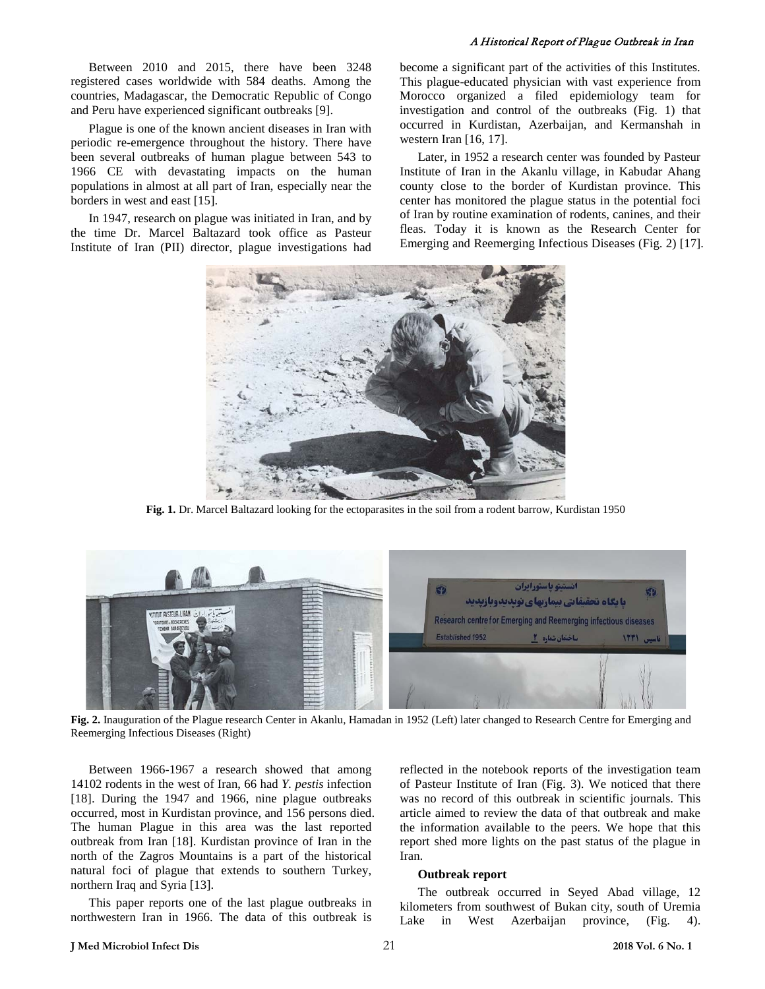Between 2010 and 2015, there have been 3248 registered cases worldwide with 584 deaths. Among the countries, Madagascar, the Democratic Republic of Congo and Peru have experienced significant outbreaks [9].

Plague is one of the known ancient diseases in Iran with periodic re-emergence throughout the history. There have been several outbreaks of human plague between 543 to 1966 CE with devastating impacts on the human populations in almost at all part of Iran, especially near the borders in west and east [15].

In 1947, research on plague was initiated in Iran, and by the time Dr. Marcel Baltazard took office as Pasteur Institute of Iran (PII) director, plague investigations had become a significant part of the activities of this Institutes. This plague-educated physician with vast experience from Morocco organized a filed epidemiology team for investigation and control of the outbreaks (Fig. 1) that occurred in Kurdistan, Azerbaijan, and Kermanshah in western Iran [16, 17].

Later, in 1952 a research center was founded by Pasteur Institute of Iran in the Akanlu village, in Kabudar Ahang county close to the border of Kurdistan province. This center has monitored the plague status in the potential foci of Iran by routine examination of rodents, canines, and their fleas. Today it is known as the Research Center for Emerging and Reemerging Infectious Diseases (Fig. 2) [17].



**Fig. 1.** Dr. Marcel Baltazard looking for the ectoparasites in the soil from a rodent barrow, Kurdistan 1950



**Fig. 2.** Inauguration of the Plague research Center in Akanlu, Hamadan in 1952 (Left) later changed to Research Centre for Emerging and Reemerging Infectious Diseases (Right)

Between 1966-1967 a research showed that among 14102 rodents in the west of Iran, 66 had *Y. pestis* infection [18]. During the 1947 and 1966, nine plague outbreaks occurred, most in Kurdistan province, and 156 persons died. The human Plague in this area was the last reported outbreak from Iran [18]. Kurdistan province of Iran in the north of the Zagros Mountains is a part of the historical natural foci of plague that extends to southern Turkey, northern Iraq and Syria [13].

This paper reports one of the last plague outbreaks in northwestern Iran in 1966. The data of this outbreak is

reflected in the notebook reports of the investigation team of Pasteur Institute of Iran (Fig. 3). We noticed that there was no record of this outbreak in scientific journals. This article aimed to review the data of that outbreak and make the information available to the peers. We hope that this report shed more lights on the past status of the plague in Iran.

#### **Outbreak report**

The outbreak occurred in Seyed Abad village, 12 kilometers from southwest of Bukan city, south of Uremia Lake in West Azerbaijan province, (Fig. 4).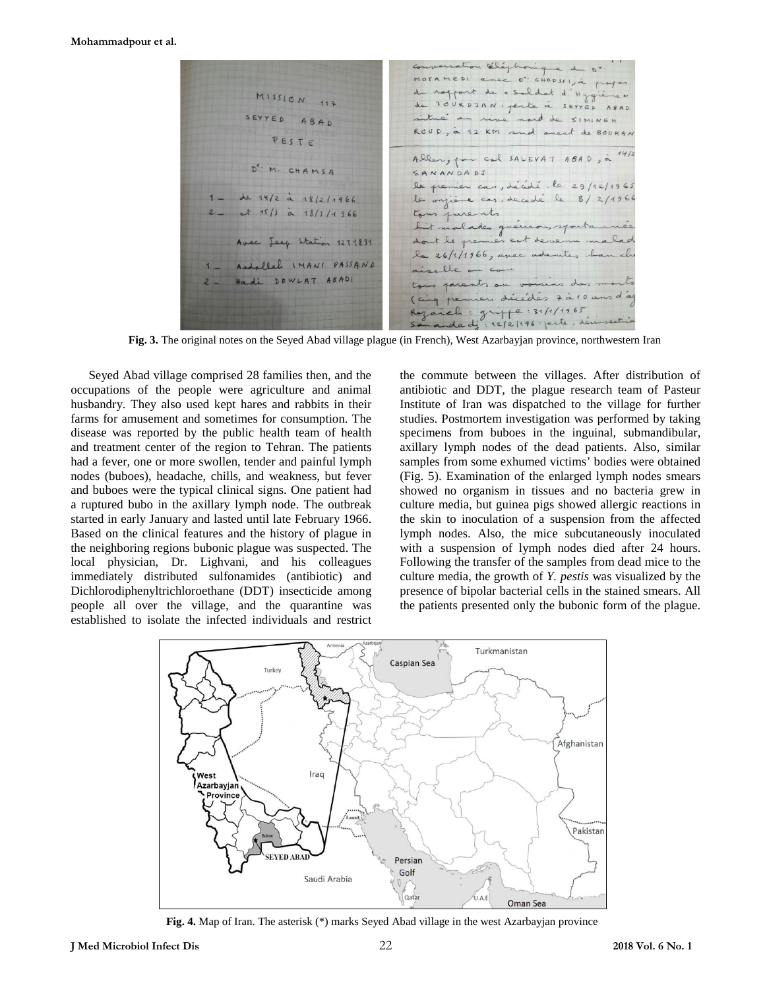Eléphon e du n' MOTAMEDI anec 0" GHOPSI jà prof du raffort de « saldat d'Hygiène"  $M15510N$  117 de TOURDJAN: peste à SEYYED ABAD situé au rive nord de SIMINEH ABAD ROUD, à 12 KM and onest de BOUKAN PESTE Aller, par cal SALEVAT ABAD, à M. CHAMSA SANANDADI le premier cas, décédé le 29/12/1965 de 14/2 à 18/2/1966 les onzième cas, de cedé le 8/2/1966  $-$  15/3  $\alpha$  18/3/1966 tous parents tous parents<br>Lit malades guérisons sportannée dont le premier est devenu malad Avec Jeep. Station 1271831 le 26/1/1966, avec adenites han ch Andallah IMANI PASSAND  $\cdot$   $\rho \rho$   $\sim$ us parents on voisins des m Hadi DOWLAT ABADI (cinq permiers décédés 7 à 10 ans d'ac eh: grippe:31/1/1965

**Fig. 3.** The original notes on the Seyed Abad village plague (in French), West Azarbayjan province, northwestern Iran

Seyed Abad village comprised 28 families then, and the occupations of the people were agriculture and animal husbandry. They also used kept hares and rabbits in their farms for amusement and sometimes for consumption. The disease was reported by the public health team of health and treatment center of the region to Tehran. The patients had a fever, one or more swollen, tender and painful lymph nodes (buboes), headache, chills, and weakness, but fever and buboes were the typical clinical signs. One patient had a ruptured bubo in the axillary lymph node. The outbreak started in early January and lasted until late February 1966. Based on the clinical features and the history of plague in the neighboring regions bubonic plague was suspected. The local physician, Dr. Lighvani, and his colleagues immediately distributed sulfonamides (antibiotic) and Dichlorodiphenyltrichloroethane (DDT) insecticide among people all over the village, and the quarantine was established to isolate the infected individuals and restrict the commute between the villages. After distribution of antibiotic and DDT, the plague research team of Pasteur Institute of Iran was dispatched to the village for further studies. Postmortem investigation was performed by taking specimens from buboes in the inguinal, submandibular, axillary lymph nodes of the dead patients. Also, similar samples from some exhumed victims' bodies were obtained (Fig. 5). Examination of the enlarged lymph nodes smears showed no organism in tissues and no bacteria grew in culture media, but guinea pigs showed allergic reactions in the skin to inoculation of a suspension from the affected lymph nodes. Also, the mice subcutaneously inoculated with a suspension of lymph nodes died after 24 hours. Following the transfer of the samples from dead mice to the culture media, the growth of *Y. pestis* was visualized by the presence of bipolar bacterial cells in the stained smears. All the patients presented only the bubonic form of the plague.



**Fig. 4.** Map of Iran. The asterisk (\*) marks Seyed Abad village in the west Azarbayjan province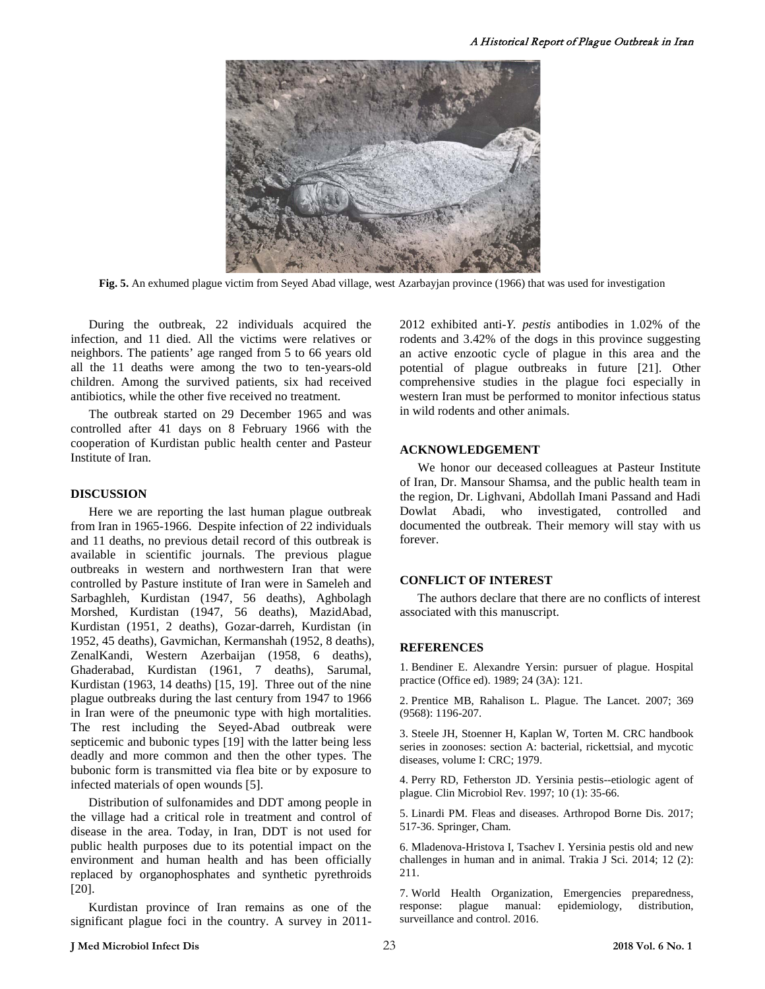

**Fig. 5.** An exhumed plague victim from Seyed Abad village, west Azarbayjan province (1966) that was used for investigation

During the outbreak, 22 individuals acquired the infection, and 11 died. All the victims were relatives or neighbors. The patients' age ranged from 5 to 66 years old all the 11 deaths were among the two to ten-years-old children. Among the survived patients, six had received antibiotics, while the other five received no treatment.

The outbreak started on 29 December 1965 and was controlled after 41 days on 8 February 1966 with the cooperation of Kurdistan public health center and Pasteur Institute of Iran.

#### **DISCUSSION**

Here we are reporting the last human plague outbreak from Iran in 1965-1966. Despite infection of 22 individuals and 11 deaths, no previous detail record of this outbreak is available in scientific journals. The previous plague outbreaks in western and northwestern Iran that were controlled by Pasture institute of Iran were in Sameleh and Sarbaghleh, Kurdistan (1947, 56 deaths), Aghbolagh Morshed, Kurdistan (1947, 56 deaths), MazidAbad, Kurdistan (1951, 2 deaths), Gozar-darreh, Kurdistan (in 1952, 45 deaths), Gavmichan, Kermanshah (1952, 8 deaths), ZenalKandi, Western Azerbaijan (1958, 6 deaths), Ghaderabad, Kurdistan (1961, 7 deaths), Sarumal, Kurdistan (1963, 14 deaths) [15, 19]. Three out of the nine plague outbreaks during the last century from 1947 to 1966 in Iran were of the pneumonic type with high mortalities. The rest including the Seyed-Abad outbreak were septicemic and bubonic types [19] with the latter being less deadly and more common and then the other types. The bubonic form is transmitted via flea bite or by exposure to infected materials of open wounds [5].

Distribution of sulfonamides and DDT among people in the village had a critical role in treatment and control of disease in the area. Today, in Iran, DDT is not used for public health purposes due to its potential impact on the environment and human health and has been officially replaced by organophosphates and synthetic pyrethroids [20].

Kurdistan province of Iran remains as one of the significant plague foci in the country. A survey in 20112012 exhibited anti-*Y. pestis* antibodies in 1.02% of the rodents and 3.42% of the dogs in this province suggesting an active enzootic cycle of plague in this area and the potential of plague outbreaks in future [21]. Other comprehensive studies in the plague foci especially in western Iran must be performed to monitor infectious status in wild rodents and other animals.

### **ACKNOWLEDGEMENT**

We honor our deceased colleagues at Pasteur Institute of Iran, Dr. Mansour Shamsa, and the public health team in the region, Dr. Lighvani, Abdollah Imani Passand and Hadi Dowlat Abadi, who investigated, controlled and documented the outbreak. Their memory will stay with us forever.

#### **CONFLICT OF INTEREST**

The authors declare that there are no conflicts of interest associated with this manuscript.

#### **REFERENCES**

1. Bendiner E. Alexandre Yersin: pursuer of plague. Hospital practice (Office ed). 1989; 24 (3A): 121.

2. Prentice MB, Rahalison L. Plague. The Lancet. 2007; 369 (9568): 1196-207.

3. Steele JH, Stoenner H, Kaplan W, Torten M. CRC handbook series in zoonoses: section A: bacterial, rickettsial, and mycotic diseases, volume I: CRC; 1979.

4. Perry RD, Fetherston JD. Yersinia pestis--etiologic agent of plague. Clin Microbiol Rev. 1997; 10 (1): 35-66.

5. Linardi PM. Fleas and diseases. Arthropod Borne Dis. 2017; 517-36. Springer, Cham.

6. Mladenova-Hristova I, Tsachev I. Yersinia pestis old and new challenges in human and in animal. Trakia J Sci. 2014; 12 (2): 211.

7. World Health Organization, Emergencies preparedness, response: plague manual: epidemiology, distribution, surveillance and control. 2016.